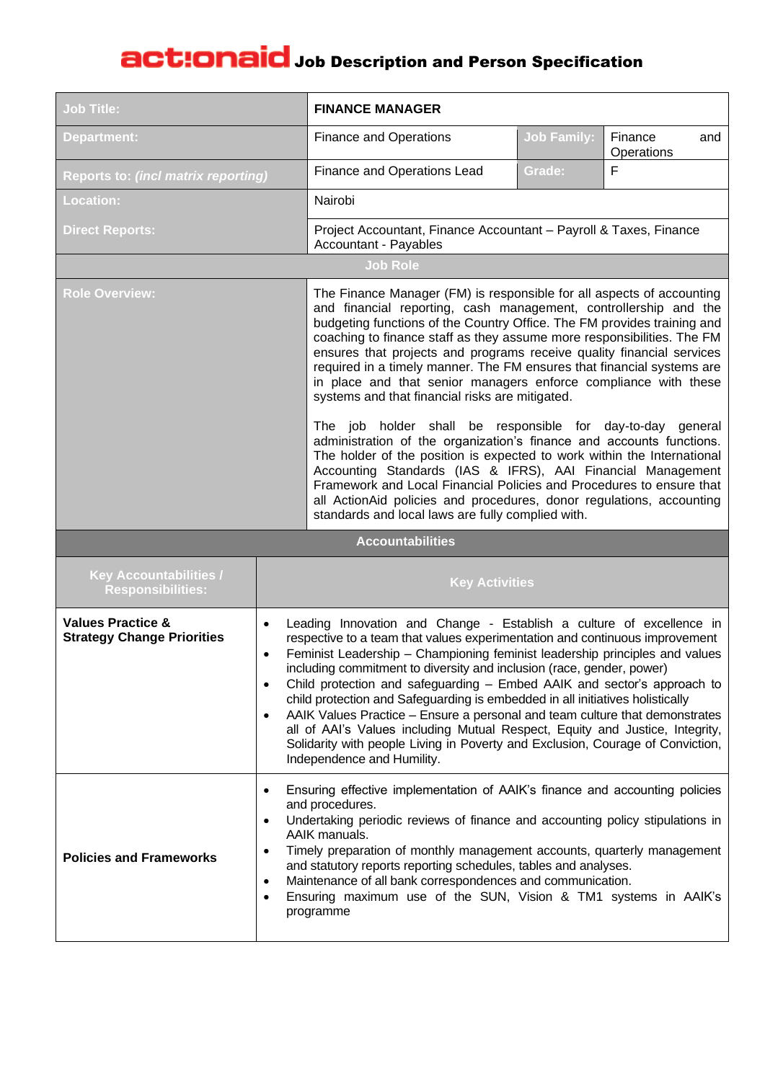| <b>Job Title:</b>                                                 |                                                                                                                                                                                                                                                                                                                                                                                                                                                                                                                                                                                                                                                                                                                                                                                                            | <b>FINANCE MANAGER</b>                                                                                                                                                                                                                                                                                                                                                                                                                                                                                                                                                                                                                                                                                                                                                                                                                                                                                                                                                                                                                                       |                    |                              |
|-------------------------------------------------------------------|------------------------------------------------------------------------------------------------------------------------------------------------------------------------------------------------------------------------------------------------------------------------------------------------------------------------------------------------------------------------------------------------------------------------------------------------------------------------------------------------------------------------------------------------------------------------------------------------------------------------------------------------------------------------------------------------------------------------------------------------------------------------------------------------------------|--------------------------------------------------------------------------------------------------------------------------------------------------------------------------------------------------------------------------------------------------------------------------------------------------------------------------------------------------------------------------------------------------------------------------------------------------------------------------------------------------------------------------------------------------------------------------------------------------------------------------------------------------------------------------------------------------------------------------------------------------------------------------------------------------------------------------------------------------------------------------------------------------------------------------------------------------------------------------------------------------------------------------------------------------------------|--------------------|------------------------------|
| <b>Department:</b>                                                |                                                                                                                                                                                                                                                                                                                                                                                                                                                                                                                                                                                                                                                                                                                                                                                                            | <b>Finance and Operations</b>                                                                                                                                                                                                                                                                                                                                                                                                                                                                                                                                                                                                                                                                                                                                                                                                                                                                                                                                                                                                                                | <b>Job Family:</b> | Finance<br>and<br>Operations |
| <b>Reports to: (incl matrix reporting)</b>                        |                                                                                                                                                                                                                                                                                                                                                                                                                                                                                                                                                                                                                                                                                                                                                                                                            | Finance and Operations Lead                                                                                                                                                                                                                                                                                                                                                                                                                                                                                                                                                                                                                                                                                                                                                                                                                                                                                                                                                                                                                                  | Grade:             | F                            |
| Location:                                                         |                                                                                                                                                                                                                                                                                                                                                                                                                                                                                                                                                                                                                                                                                                                                                                                                            | Nairobi                                                                                                                                                                                                                                                                                                                                                                                                                                                                                                                                                                                                                                                                                                                                                                                                                                                                                                                                                                                                                                                      |                    |                              |
| <b>Direct Reports:</b>                                            |                                                                                                                                                                                                                                                                                                                                                                                                                                                                                                                                                                                                                                                                                                                                                                                                            | Project Accountant, Finance Accountant - Payroll & Taxes, Finance<br><b>Accountant - Payables</b>                                                                                                                                                                                                                                                                                                                                                                                                                                                                                                                                                                                                                                                                                                                                                                                                                                                                                                                                                            |                    |                              |
|                                                                   |                                                                                                                                                                                                                                                                                                                                                                                                                                                                                                                                                                                                                                                                                                                                                                                                            | <b>Job Role</b>                                                                                                                                                                                                                                                                                                                                                                                                                                                                                                                                                                                                                                                                                                                                                                                                                                                                                                                                                                                                                                              |                    |                              |
| <b>Role Overview:</b>                                             |                                                                                                                                                                                                                                                                                                                                                                                                                                                                                                                                                                                                                                                                                                                                                                                                            | The Finance Manager (FM) is responsible for all aspects of accounting<br>and financial reporting, cash management, controllership and the<br>budgeting functions of the Country Office. The FM provides training and<br>coaching to finance staff as they assume more responsibilities. The FM<br>ensures that projects and programs receive quality financial services<br>required in a timely manner. The FM ensures that financial systems are<br>in place and that senior managers enforce compliance with these<br>systems and that financial risks are mitigated.<br>The job holder shall be responsible for day-to-day general<br>administration of the organization's finance and accounts functions.<br>The holder of the position is expected to work within the International<br>Accounting Standards (IAS & IFRS), AAI Financial Management<br>Framework and Local Financial Policies and Procedures to ensure that<br>all ActionAid policies and procedures, donor regulations, accounting<br>standards and local laws are fully complied with. |                    |                              |
| <b>Accountabilities</b>                                           |                                                                                                                                                                                                                                                                                                                                                                                                                                                                                                                                                                                                                                                                                                                                                                                                            |                                                                                                                                                                                                                                                                                                                                                                                                                                                                                                                                                                                                                                                                                                                                                                                                                                                                                                                                                                                                                                                              |                    |                              |
| <b>Key Accountabilities /</b><br><b>Responsibilities:</b>         |                                                                                                                                                                                                                                                                                                                                                                                                                                                                                                                                                                                                                                                                                                                                                                                                            | <b>Key Activities</b>                                                                                                                                                                                                                                                                                                                                                                                                                                                                                                                                                                                                                                                                                                                                                                                                                                                                                                                                                                                                                                        |                    |                              |
| <b>Values Practice &amp;</b><br><b>Strategy Change Priorities</b> | Leading Innovation and Change - Establish a culture of excellence in<br>$\bullet$<br>respective to a team that values experimentation and continuous improvement<br>Feminist Leadership - Championing feminist leadership principles and values<br>$\bullet$<br>including commitment to diversity and inclusion (race, gender, power)<br>Child protection and safeguarding - Embed AAIK and sector's approach to<br>$\bullet$<br>child protection and Safeguarding is embedded in all initiatives holistically<br>AAIK Values Practice - Ensure a personal and team culture that demonstrates<br>$\bullet$<br>all of AAI's Values including Mutual Respect, Equity and Justice, Integrity,<br>Solidarity with people Living in Poverty and Exclusion, Courage of Conviction,<br>Independence and Humility. |                                                                                                                                                                                                                                                                                                                                                                                                                                                                                                                                                                                                                                                                                                                                                                                                                                                                                                                                                                                                                                                              |                    |                              |
| <b>Policies and Frameworks</b>                                    | Ensuring effective implementation of AAIK's finance and accounting policies<br>$\bullet$<br>and procedures.<br>Undertaking periodic reviews of finance and accounting policy stipulations in<br>$\bullet$<br>AAIK manuals.<br>Timely preparation of monthly management accounts, quarterly management<br>$\bullet$<br>and statutory reports reporting schedules, tables and analyses.<br>Maintenance of all bank correspondences and communication.<br>$\bullet$<br>Ensuring maximum use of the SUN, Vision & TM1 systems in AAIK's<br>$\bullet$<br>programme                                                                                                                                                                                                                                              |                                                                                                                                                                                                                                                                                                                                                                                                                                                                                                                                                                                                                                                                                                                                                                                                                                                                                                                                                                                                                                                              |                    |                              |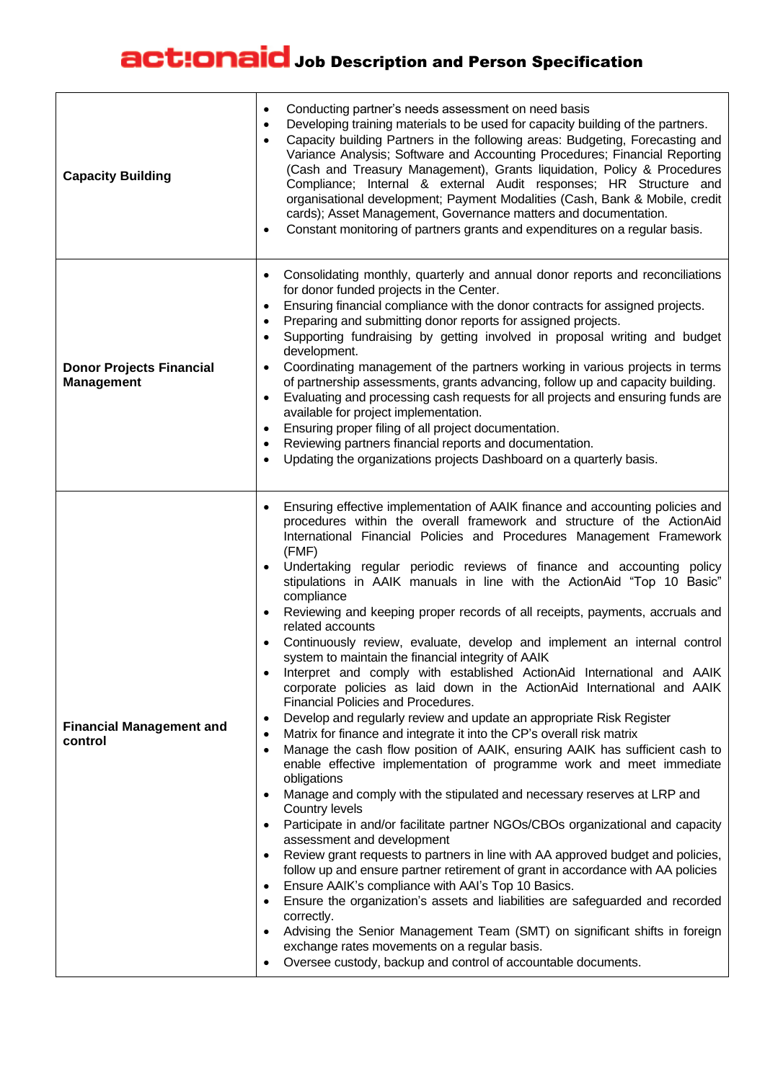| <b>Capacity Building</b>                             | Conducting partner's needs assessment on need basis<br>٠<br>Developing training materials to be used for capacity building of the partners.<br>$\bullet$<br>Capacity building Partners in the following areas: Budgeting, Forecasting and<br>$\bullet$<br>Variance Analysis; Software and Accounting Procedures; Financial Reporting<br>(Cash and Treasury Management), Grants liquidation, Policy & Procedures<br>Compliance; Internal & external Audit responses; HR Structure and<br>organisational development; Payment Modalities (Cash, Bank & Mobile, credit<br>cards); Asset Management, Governance matters and documentation.<br>Constant monitoring of partners grants and expenditures on a regular basis.<br>٠                                                                                                                                                                                                                                                                                                                                                                                                                                                                                                                                                                                                                                                                                                                                                                                                                                                                                                                                                                                                                                                                                                                                                                                                                                                                                                                               |  |
|------------------------------------------------------|----------------------------------------------------------------------------------------------------------------------------------------------------------------------------------------------------------------------------------------------------------------------------------------------------------------------------------------------------------------------------------------------------------------------------------------------------------------------------------------------------------------------------------------------------------------------------------------------------------------------------------------------------------------------------------------------------------------------------------------------------------------------------------------------------------------------------------------------------------------------------------------------------------------------------------------------------------------------------------------------------------------------------------------------------------------------------------------------------------------------------------------------------------------------------------------------------------------------------------------------------------------------------------------------------------------------------------------------------------------------------------------------------------------------------------------------------------------------------------------------------------------------------------------------------------------------------------------------------------------------------------------------------------------------------------------------------------------------------------------------------------------------------------------------------------------------------------------------------------------------------------------------------------------------------------------------------------------------------------------------------------------------------------------------------------|--|
| <b>Donor Projects Financial</b><br><b>Management</b> | Consolidating monthly, quarterly and annual donor reports and reconciliations<br>٠<br>for donor funded projects in the Center.<br>Ensuring financial compliance with the donor contracts for assigned projects.<br>$\bullet$<br>Preparing and submitting donor reports for assigned projects.<br>$\bullet$<br>Supporting fundraising by getting involved in proposal writing and budget<br>$\bullet$<br>development.<br>Coordinating management of the partners working in various projects in terms<br>$\bullet$<br>of partnership assessments, grants advancing, follow up and capacity building.<br>Evaluating and processing cash requests for all projects and ensuring funds are<br>$\bullet$<br>available for project implementation.<br>Ensuring proper filing of all project documentation.<br>٠<br>Reviewing partners financial reports and documentation.<br>$\bullet$<br>Updating the organizations projects Dashboard on a quarterly basis.<br>$\bullet$                                                                                                                                                                                                                                                                                                                                                                                                                                                                                                                                                                                                                                                                                                                                                                                                                                                                                                                                                                                                                                                                                    |  |
| <b>Financial Management and</b><br>control           | Ensuring effective implementation of AAIK finance and accounting policies and<br>$\bullet$<br>procedures within the overall framework and structure of the ActionAid<br>International Financial Policies and Procedures Management Framework<br>(FMF)<br>Undertaking regular periodic reviews of finance and accounting policy<br>$\bullet$<br>stipulations in AAIK manuals in line with the ActionAid "Top 10 Basic"<br>compliance<br>Reviewing and keeping proper records of all receipts, payments, accruals and<br>$\bullet$<br>related accounts<br>Continuously review, evaluate, develop and implement an internal control<br>$\bullet$<br>system to maintain the financial integrity of AAIK<br>Interpret and comply with established ActionAid International and AAIK<br>corporate policies as laid down in the ActionAid International and AAIK<br><b>Financial Policies and Procedures.</b><br>Develop and regularly review and update an appropriate Risk Register<br>٠<br>Matrix for finance and integrate it into the CP's overall risk matrix<br>٠<br>Manage the cash flow position of AAIK, ensuring AAIK has sufficient cash to<br>$\bullet$<br>enable effective implementation of programme work and meet immediate<br>obligations<br>Manage and comply with the stipulated and necessary reserves at LRP and<br>$\bullet$<br>Country levels<br>Participate in and/or facilitate partner NGOs/CBOs organizational and capacity<br>٠<br>assessment and development<br>Review grant requests to partners in line with AA approved budget and policies,<br>٠<br>follow up and ensure partner retirement of grant in accordance with AA policies<br>Ensure AAIK's compliance with AAI's Top 10 Basics.<br>Ensure the organization's assets and liabilities are safeguarded and recorded<br>$\bullet$<br>correctly.<br>Advising the Senior Management Team (SMT) on significant shifts in foreign<br>$\bullet$<br>exchange rates movements on a regular basis.<br>Oversee custody, backup and control of accountable documents.<br>$\bullet$ |  |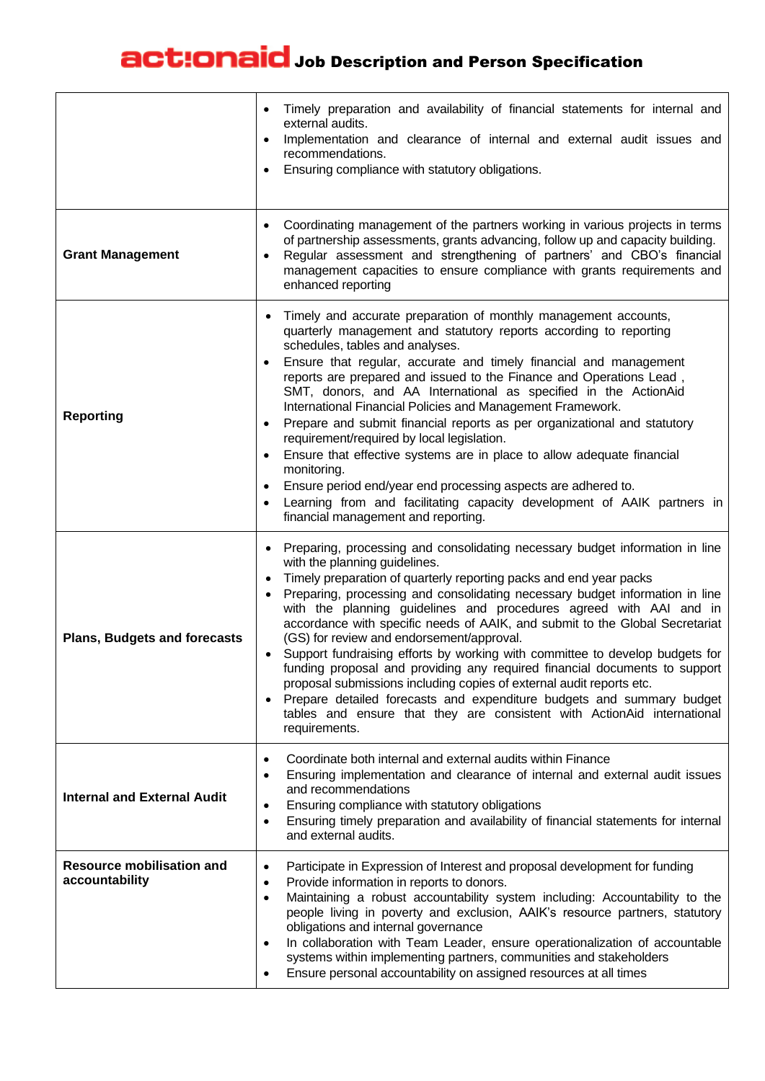|                                                    | Timely preparation and availability of financial statements for internal and<br>$\bullet$<br>external audits.<br>Implementation and clearance of internal and external audit issues and<br>$\bullet$<br>recommendations.<br>Ensuring compliance with statutory obligations.<br>٠<br>Coordinating management of the partners working in various projects in terms<br>$\bullet$                                                                                                                                                                                                                                                                                                                                                                                                                                                                                                                                                                      |  |  |
|----------------------------------------------------|----------------------------------------------------------------------------------------------------------------------------------------------------------------------------------------------------------------------------------------------------------------------------------------------------------------------------------------------------------------------------------------------------------------------------------------------------------------------------------------------------------------------------------------------------------------------------------------------------------------------------------------------------------------------------------------------------------------------------------------------------------------------------------------------------------------------------------------------------------------------------------------------------------------------------------------------------|--|--|
| <b>Grant Management</b>                            | of partnership assessments, grants advancing, follow up and capacity building.<br>Regular assessment and strengthening of partners' and CBO's financial<br>$\bullet$<br>management capacities to ensure compliance with grants requirements and<br>enhanced reporting                                                                                                                                                                                                                                                                                                                                                                                                                                                                                                                                                                                                                                                                              |  |  |
| <b>Reporting</b>                                   | Timely and accurate preparation of monthly management accounts,<br>$\bullet$<br>quarterly management and statutory reports according to reporting<br>schedules, tables and analyses.<br>Ensure that regular, accurate and timely financial and management<br>$\bullet$<br>reports are prepared and issued to the Finance and Operations Lead,<br>SMT, donors, and AA International as specified in the ActionAid<br>International Financial Policies and Management Framework.<br>Prepare and submit financial reports as per organizational and statutory<br>٠<br>requirement/required by local legislation.<br>Ensure that effective systems are in place to allow adequate financial<br>٠<br>monitoring.<br>Ensure period end/year end processing aspects are adhered to.<br>٠<br>Learning from and facilitating capacity development of AAIK partners in<br>financial management and reporting.                                                |  |  |
| <b>Plans, Budgets and forecasts</b>                | Preparing, processing and consolidating necessary budget information in line<br>$\bullet$<br>with the planning guidelines.<br>Timely preparation of quarterly reporting packs and end year packs<br>$\bullet$<br>Preparing, processing and consolidating necessary budget information in line<br>$\bullet$<br>with the planning guidelines and procedures agreed with AAI and in<br>accordance with specific needs of AAIK, and submit to the Global Secretariat<br>(GS) for review and endorsement/approval.<br>Support fundraising efforts by working with committee to develop budgets for<br>$\bullet$<br>funding proposal and providing any required financial documents to support<br>proposal submissions including copies of external audit reports etc.<br>Prepare detailed forecasts and expenditure budgets and summary budget<br>$\bullet$<br>tables and ensure that they are consistent with ActionAid international<br>requirements. |  |  |
| <b>Internal and External Audit</b>                 | Coordinate both internal and external audits within Finance<br>٠<br>Ensuring implementation and clearance of internal and external audit issues<br>٠<br>and recommendations<br>Ensuring compliance with statutory obligations<br>٠<br>Ensuring timely preparation and availability of financial statements for internal<br>٠<br>and external audits.                                                                                                                                                                                                                                                                                                                                                                                                                                                                                                                                                                                               |  |  |
| <b>Resource mobilisation and</b><br>accountability | Participate in Expression of Interest and proposal development for funding<br>٠<br>Provide information in reports to donors.<br>٠<br>Maintaining a robust accountability system including: Accountability to the<br>٠<br>people living in poverty and exclusion, AAIK's resource partners, statutory<br>obligations and internal governance<br>In collaboration with Team Leader, ensure operationalization of accountable<br>٠<br>systems within implementing partners, communities and stakeholders<br>Ensure personal accountability on assigned resources at all times<br>٠                                                                                                                                                                                                                                                                                                                                                                    |  |  |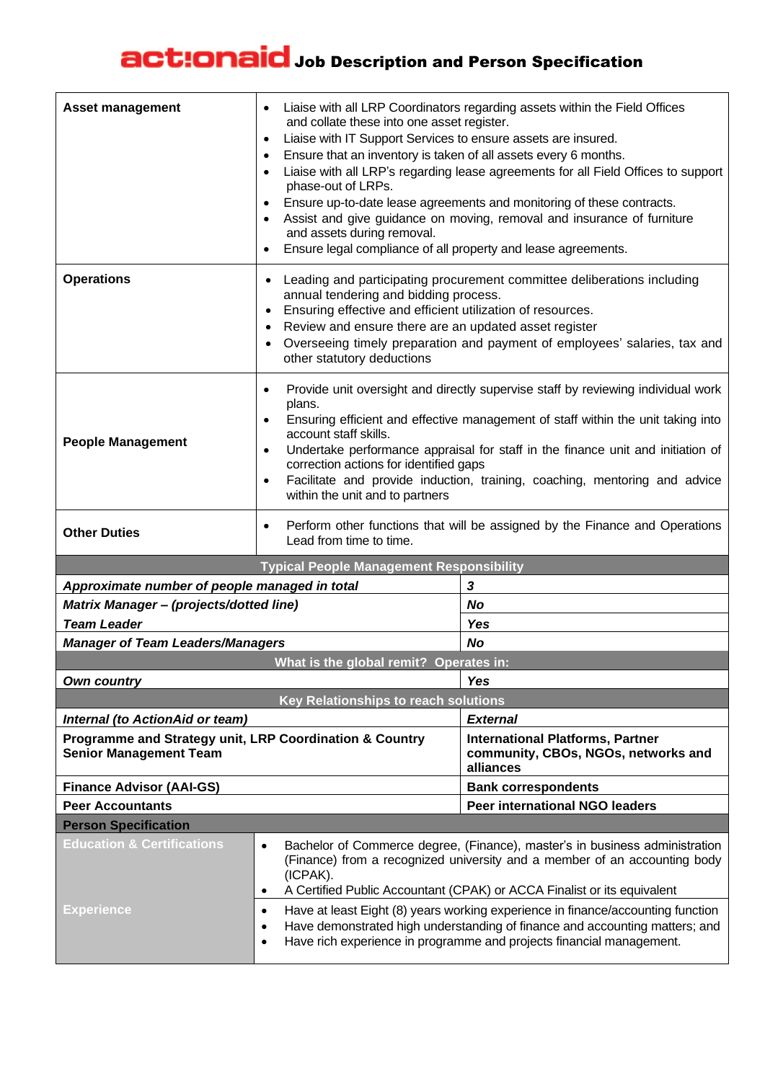| <b>Asset management</b>                                                                  | Liaise with all LRP Coordinators regarding assets within the Field Offices<br>and collate these into one asset register.<br>Liaise with IT Support Services to ensure assets are insured.<br>$\bullet$<br>Ensure that an inventory is taken of all assets every 6 months.<br>$\bullet$<br>Liaise with all LRP's regarding lease agreements for all Field Offices to support<br>$\bullet$<br>phase-out of LRPs.<br>Ensure up-to-date lease agreements and monitoring of these contracts.<br>Assist and give guidance on moving, removal and insurance of furniture<br>and assets during removal.<br>Ensure legal compliance of all property and lease agreements. |                                                                                             |  |
|------------------------------------------------------------------------------------------|------------------------------------------------------------------------------------------------------------------------------------------------------------------------------------------------------------------------------------------------------------------------------------------------------------------------------------------------------------------------------------------------------------------------------------------------------------------------------------------------------------------------------------------------------------------------------------------------------------------------------------------------------------------|---------------------------------------------------------------------------------------------|--|
| <b>Operations</b>                                                                        | Leading and participating procurement committee deliberations including<br>annual tendering and bidding process.<br>Ensuring effective and efficient utilization of resources.<br>$\bullet$<br>Review and ensure there are an updated asset register<br>$\bullet$<br>Overseeing timely preparation and payment of employees' salaries, tax and<br>other statutory deductions                                                                                                                                                                                                                                                                                     |                                                                                             |  |
| <b>People Management</b>                                                                 | Provide unit oversight and directly supervise staff by reviewing individual work<br>$\bullet$<br>plans.<br>Ensuring efficient and effective management of staff within the unit taking into<br>$\bullet$<br>account staff skills.<br>Undertake performance appraisal for staff in the finance unit and initiation of<br>$\bullet$<br>correction actions for identified gaps<br>Facilitate and provide induction, training, coaching, mentoring and advice<br>$\bullet$<br>within the unit and to partners                                                                                                                                                        |                                                                                             |  |
| <b>Other Duties</b>                                                                      | Perform other functions that will be assigned by the Finance and Operations<br>$\bullet$<br>Lead from time to time.                                                                                                                                                                                                                                                                                                                                                                                                                                                                                                                                              |                                                                                             |  |
|                                                                                          | <b>Typical People Management Responsibility</b>                                                                                                                                                                                                                                                                                                                                                                                                                                                                                                                                                                                                                  |                                                                                             |  |
| Approximate number of people managed in total                                            |                                                                                                                                                                                                                                                                                                                                                                                                                                                                                                                                                                                                                                                                  | $\mathbf{3}$                                                                                |  |
| Matrix Manager - (projects/dotted line)                                                  |                                                                                                                                                                                                                                                                                                                                                                                                                                                                                                                                                                                                                                                                  | No                                                                                          |  |
| <b>Team Leader</b>                                                                       |                                                                                                                                                                                                                                                                                                                                                                                                                                                                                                                                                                                                                                                                  | Yes                                                                                         |  |
| <b>Manager of Team Leaders/Managers</b>                                                  |                                                                                                                                                                                                                                                                                                                                                                                                                                                                                                                                                                                                                                                                  | <b>No</b>                                                                                   |  |
|                                                                                          | What is the global remit? Operates in:                                                                                                                                                                                                                                                                                                                                                                                                                                                                                                                                                                                                                           |                                                                                             |  |
| <b>Own country</b>                                                                       |                                                                                                                                                                                                                                                                                                                                                                                                                                                                                                                                                                                                                                                                  | <b>Yes</b>                                                                                  |  |
|                                                                                          | Key Relationships to reach solutions                                                                                                                                                                                                                                                                                                                                                                                                                                                                                                                                                                                                                             |                                                                                             |  |
| Internal (to ActionAid or team)                                                          |                                                                                                                                                                                                                                                                                                                                                                                                                                                                                                                                                                                                                                                                  | <b>External</b>                                                                             |  |
| Programme and Strategy unit, LRP Coordination & Country<br><b>Senior Management Team</b> |                                                                                                                                                                                                                                                                                                                                                                                                                                                                                                                                                                                                                                                                  | <b>International Platforms, Partner</b><br>community, CBOs, NGOs, networks and<br>alliances |  |
| <b>Finance Advisor (AAI-GS)</b>                                                          |                                                                                                                                                                                                                                                                                                                                                                                                                                                                                                                                                                                                                                                                  | <b>Bank correspondents</b>                                                                  |  |
| <b>Peer Accountants</b>                                                                  |                                                                                                                                                                                                                                                                                                                                                                                                                                                                                                                                                                                                                                                                  | Peer international NGO leaders                                                              |  |
| <b>Person Specification</b>                                                              |                                                                                                                                                                                                                                                                                                                                                                                                                                                                                                                                                                                                                                                                  |                                                                                             |  |
| <b>Education &amp; Certifications</b>                                                    | Bachelor of Commerce degree, (Finance), master's in business administration<br>$\bullet$<br>(Finance) from a recognized university and a member of an accounting body<br>(ICPAK).<br>A Certified Public Accountant (CPAK) or ACCA Finalist or its equivalent<br>$\bullet$                                                                                                                                                                                                                                                                                                                                                                                        |                                                                                             |  |
| Experience                                                                               | Have at least Eight (8) years working experience in finance/accounting function<br>$\bullet$<br>Have demonstrated high understanding of finance and accounting matters; and<br>$\bullet$<br>Have rich experience in programme and projects financial management.<br>٠                                                                                                                                                                                                                                                                                                                                                                                            |                                                                                             |  |